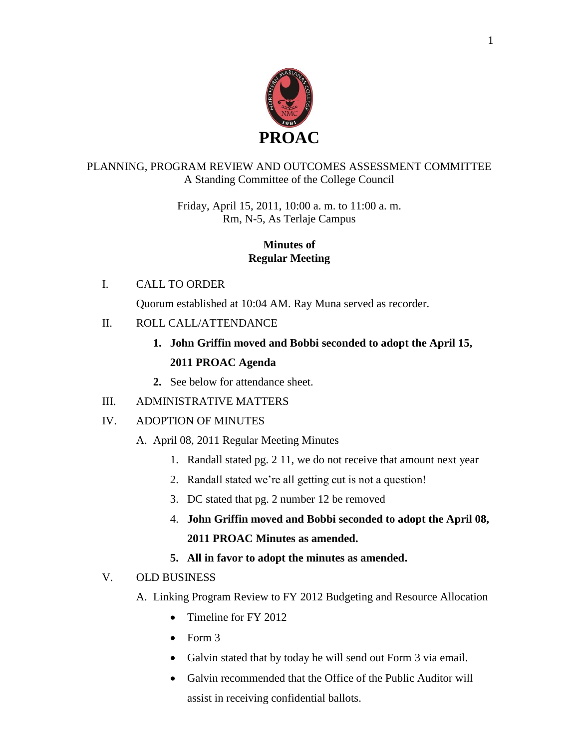

#### PLANNING, PROGRAM REVIEW AND OUTCOMES ASSESSMENT COMMITTEE A Standing Committee of the College Council

Friday, April 15, 2011, 10:00 a. m. to 11:00 a. m. Rm, N-5, As Terlaje Campus

#### **Minutes of Regular Meeting**

#### I. CALL TO ORDER

Quorum established at 10:04 AM. Ray Muna served as recorder.

### II. ROLL CALL/ATTENDANCE

# **1. John Griffin moved and Bobbi seconded to adopt the April 15, 2011 PROAC Agenda**

**2.** See below for attendance sheet.

# III. ADMINISTRATIVE MATTERS

# IV. ADOPTION OF MINUTES

# A. April 08, 2011 Regular Meeting Minutes

- 1. Randall stated pg. 2 11, we do not receive that amount next year
- 2. Randall stated we're all getting cut is not a question!
- 3. DC stated that pg. 2 number 12 be removed
- 4. **John Griffin moved and Bobbi seconded to adopt the April 08, 2011 PROAC Minutes as amended.**
- **5. All in favor to adopt the minutes as amended.**

# V. OLD BUSINESS

- A. Linking Program Review to FY 2012 Budgeting and Resource Allocation
	- Timeline for FY 2012
	- $\bullet$  Form 3
	- Galvin stated that by today he will send out Form 3 via email.
	- Galvin recommended that the Office of the Public Auditor will assist in receiving confidential ballots.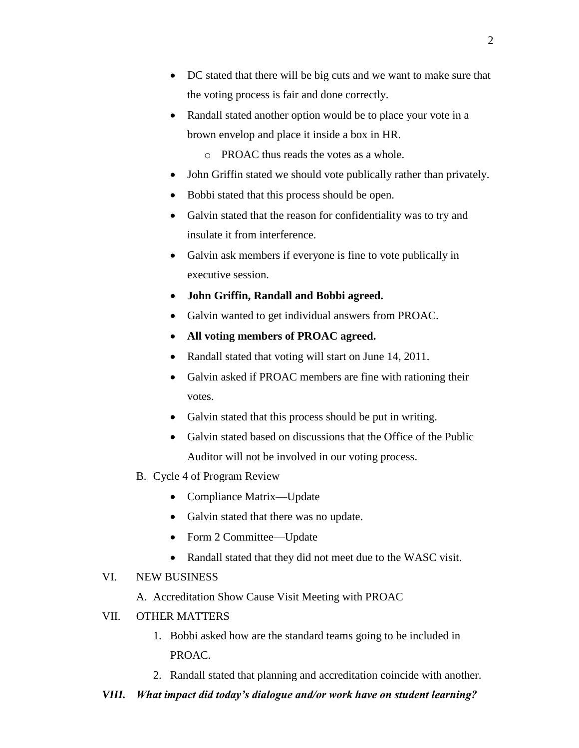- DC stated that there will be big cuts and we want to make sure that the voting process is fair and done correctly.
- Randall stated another option would be to place your vote in a brown envelop and place it inside a box in HR.

o PROAC thus reads the votes as a whole.

- John Griffin stated we should vote publically rather than privately.
- Bobbi stated that this process should be open.
- Galvin stated that the reason for confidentiality was to try and insulate it from interference.
- Galvin ask members if everyone is fine to vote publically in executive session.
- **John Griffin, Randall and Bobbi agreed.**
- Galvin wanted to get individual answers from PROAC.
- **All voting members of PROAC agreed.**
- Randall stated that voting will start on June 14, 2011.
- Galvin asked if PROAC members are fine with rationing their votes.
- Galvin stated that this process should be put in writing.
- Galvin stated based on discussions that the Office of the Public Auditor will not be involved in our voting process.
- B. Cycle 4 of Program Review
	- Compliance Matrix—Update
	- Galvin stated that there was no update.
	- Form 2 Committee—Update
	- Randall stated that they did not meet due to the WASC visit.

#### VI. NEW BUSINESS

A. Accreditation Show Cause Visit Meeting with PROAC

- VII. OTHER MATTERS
	- 1. Bobbi asked how are the standard teams going to be included in PROAC.
	- 2. Randall stated that planning and accreditation coincide with another.
- *VIII. What impact did today's dialogue and/or work have on student learning?*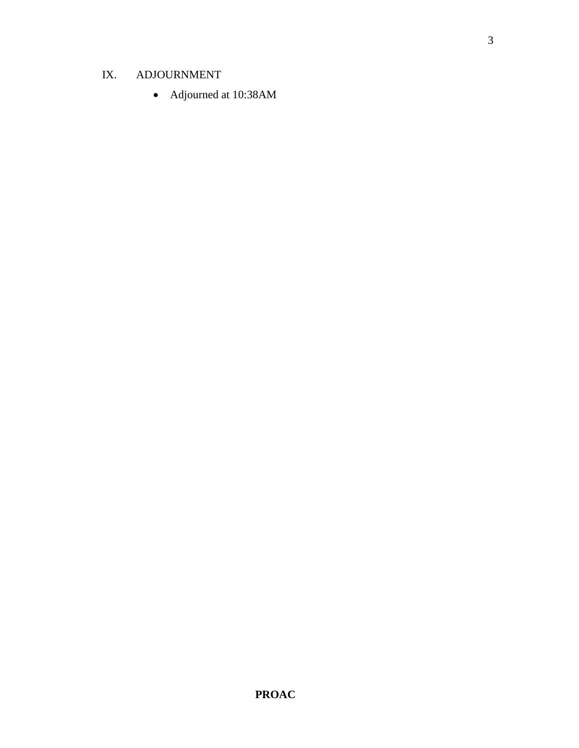# IX. ADJOURNMENT

Adjourned at 10:38AM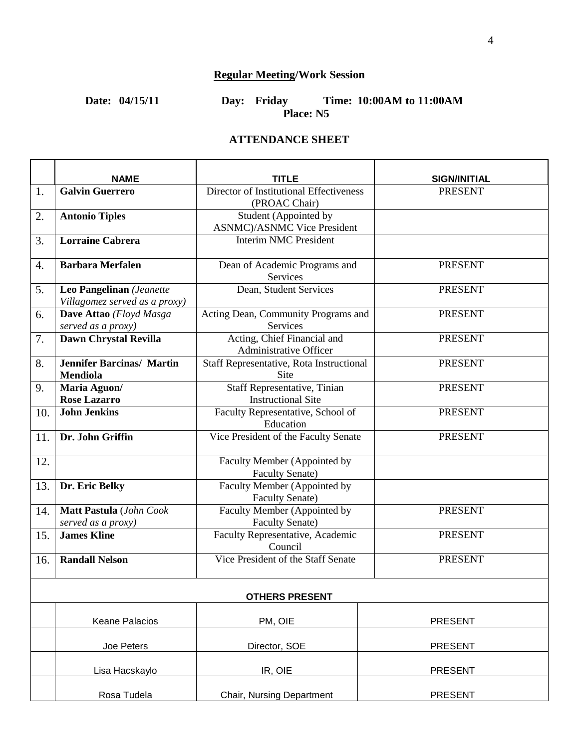# **Regular Meeting/Work Session**

#### **Date: 04/15/11 Day: Friday Time: 10:00AM to 11:00AM Place: N5**

#### **ATTENDANCE SHEET**

|                       | <b>NAME</b>                                               | TITLE                                                   | <b>SIGN/INITIAL</b> |  |  |
|-----------------------|-----------------------------------------------------------|---------------------------------------------------------|---------------------|--|--|
| 1.                    | <b>Galvin Guerrero</b>                                    | Director of Institutional Effectiveness                 | <b>PRESENT</b>      |  |  |
|                       |                                                           | (PROAC Chair)                                           |                     |  |  |
| 2.                    | <b>Antonio Tiples</b>                                     | Student (Appointed by                                   |                     |  |  |
|                       |                                                           | <b>ASNMC</b> )/ASNMC Vice President                     |                     |  |  |
| 3.                    | <b>Lorraine Cabrera</b>                                   | <b>Interim NMC President</b>                            |                     |  |  |
| 4.                    | <b>Barbara Merfalen</b>                                   | Dean of Academic Programs and<br><b>Services</b>        | <b>PRESENT</b>      |  |  |
| 5.                    | Leo Pangelinan (Jeanette<br>Villagomez served as a proxy) | Dean, Student Services                                  | <b>PRESENT</b>      |  |  |
| 6.                    | Dave Attao (Floyd Masga                                   | Acting Dean, Community Programs and                     | <b>PRESENT</b>      |  |  |
|                       | served as a proxy)                                        | Services                                                |                     |  |  |
| 7.                    | Dawn Chrystal Revilla                                     | Acting, Chief Financial and<br>Administrative Officer   | <b>PRESENT</b>      |  |  |
| 8.                    | <b>Jennifer Barcinas/ Martin</b><br><b>Mendiola</b>       | Staff Representative, Rota Instructional<br><b>Site</b> | <b>PRESENT</b>      |  |  |
| 9.                    | Maria Aguon/                                              | Staff Representative, Tinian                            | <b>PRESENT</b>      |  |  |
|                       | <b>Rose Lazarro</b>                                       | <b>Instructional Site</b>                               |                     |  |  |
| 10.                   | <b>John Jenkins</b>                                       | Faculty Representative, School of<br>Education          | <b>PRESENT</b>      |  |  |
| 11.                   | Dr. John Griffin                                          | Vice President of the Faculty Senate                    | <b>PRESENT</b>      |  |  |
| 12.                   |                                                           | Faculty Member (Appointed by<br><b>Faculty Senate)</b>  |                     |  |  |
| 13.                   | Dr. Eric Belky                                            | Faculty Member (Appointed by<br><b>Faculty Senate)</b>  |                     |  |  |
| 14.                   | Matt Pastula (John Cook                                   | Faculty Member (Appointed by                            | <b>PRESENT</b>      |  |  |
|                       | served as a proxy)                                        | <b>Faculty Senate)</b>                                  |                     |  |  |
| 15.                   | <b>James Kline</b>                                        | Faculty Representative, Academic<br>Council             | <b>PRESENT</b>      |  |  |
| 16.                   | <b>Randall Nelson</b>                                     | Vice President of the Staff Senate                      | <b>PRESENT</b>      |  |  |
| <b>OTHERS PRESENT</b> |                                                           |                                                         |                     |  |  |
|                       | Keane Palacios                                            | PM, OIE                                                 | <b>PRESENT</b>      |  |  |
|                       | Joe Peters                                                | Director, SOE                                           | <b>PRESENT</b>      |  |  |
|                       | Lisa Hacskaylo                                            | IR, OIE                                                 | <b>PRESENT</b>      |  |  |
|                       | Rosa Tudela                                               | Chair, Nursing Department                               | <b>PRESENT</b>      |  |  |